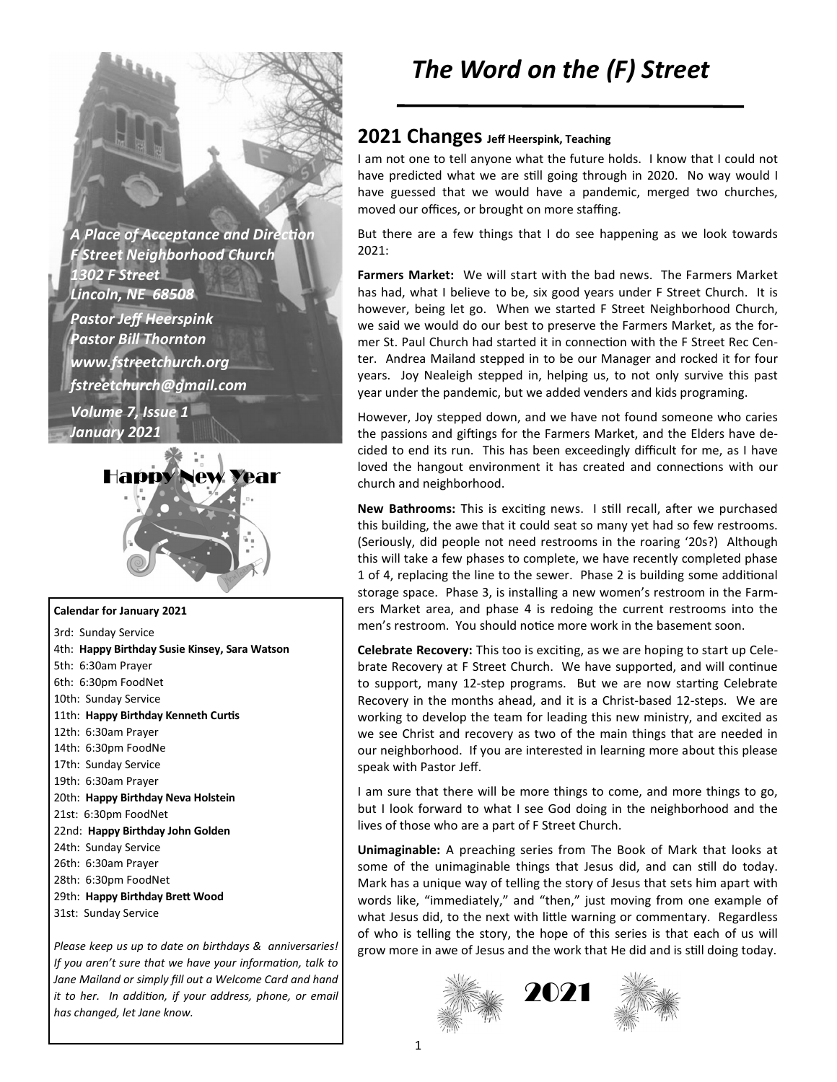**A Place of Acceptance and Direction** *F Street Neighborhood Church 1302 F Street Lincoln, NE 68508 Pastor Jeff Heerspink Pastor Bill Thornton www.fstreetchurch.org fstreetchurch@gmail.com Volume 7, Issue 1 January 2021* 



#### **Calendar for January 2021**

3rd: Sunday Service 4th: **Happy Birthday Susie Kinsey, Sara Watson**  5th: 6:30am Prayer 6th: 6:30pm FoodNet 10th: Sunday Service 11th: Happy Birthday Kenneth Curtis 12th: 6:30am Prayer 14th: 6:30pm FoodNe 17th: Sunday Service 19th: 6:30am Prayer 20th: **Happy Birthday Neva Holstein**  21st: 6:30pm FoodNet 22nd: **Happy Birthday John Golden**  24th: Sunday Service 26th: 6:30am Prayer 28th: 6:30pm FoodNet 29th: Happy Birthday Brett Wood 31st: Sunday Service

*Please keep us up to date on birthdays & anniversaries! If you aren't sure that we have your information, talk to Jane Mailand or simply fill out a Welcome Card and hand it to her. In addition, if your address, phone, or email has changed, let Jane know.* 

# *The Word on the (F) Street*

### **2021 Changes Jeff Heerspink, Teaching**

I am not one to tell anyone what the future holds. I know that I could not have predicted what we are still going through in 2020. No way would I have guessed that we would have a pandemic, merged two churches, moved our offices, or brought on more staffing.

But there are a few things that I do see happening as we look towards 2021:

**Farmers Market:** We will start with the bad news. The Farmers Market has had, what I believe to be, six good years under F Street Church. It is however, being let go. When we started F Street Neighborhood Church, we said we would do our best to preserve the Farmers Market, as the former St. Paul Church had started it in connection with the F Street Rec Center. Andrea Mailand stepped in to be our Manager and rocked it for four years. Joy Nealeigh stepped in, helping us, to not only survive this past year under the pandemic, but we added venders and kids programing.

However, Joy stepped down, and we have not found someone who caries the passions and giftings for the Farmers Market, and the Elders have decided to end its run. This has been exceedingly difficult for me, as I have loved the hangout environment it has created and connections with our church and neighborhood.

New Bathrooms: This is exciting news. I still recall, after we purchased this building, the awe that it could seat so many yet had so few restrooms. (Seriously, did people not need restrooms in the roaring '20s?) Although this will take a few phases to complete, we have recently completed phase 1 of 4, replacing the line to the sewer. Phase 2 is building some additional storage space. Phase 3, is installing a new women's restroom in the Farmers Market area, and phase 4 is redoing the current restrooms into the men's restroom. You should notice more work in the basement soon.

**Celebrate Recovery:** This too is exciting, as we are hoping to start up Celebrate Recovery at F Street Church. We have supported, and will continue to support, many 12-step programs. But we are now starting Celebrate Recovery in the months ahead, and it is a Christ-based 12-steps. We are working to develop the team for leading this new ministry, and excited as we see Christ and recovery as two of the main things that are needed in our neighborhood. If you are interested in learning more about this please speak with Pastor Jeff.

I am sure that there will be more things to come, and more things to go, but I look forward to what I see God doing in the neighborhood and the lives of those who are a part of F Street Church.

**Unimaginable:** A preaching series from The Book of Mark that looks at some of the unimaginable things that Jesus did, and can still do today. Mark has a unique way of telling the story of Jesus that sets him apart with words like, "immediately," and "then," just moving from one example of what Jesus did, to the next with little warning or commentary. Regardless of who is telling the story, the hope of this series is that each of us will grow more in awe of Jesus and the work that He did and is still doing today.

2021



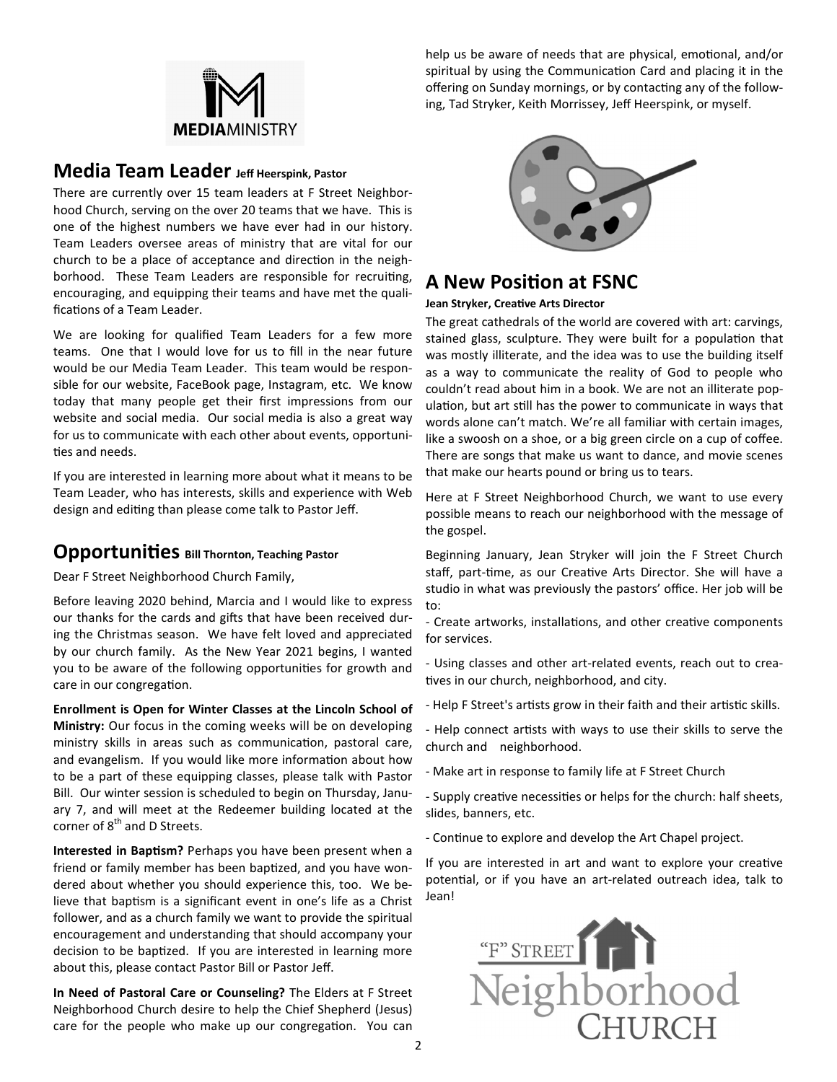

help us be aware of needs that are physical, emotional, and/or spiritual by using the Communication Card and placing it in the offering on Sunday mornings, or by contacting any of the following, Tad Stryker, Keith Morrissey, Jeff Heerspink, or myself.

### **Media Team Leader Jeff Heerspink, Pastor**

There are currently over 15 team leaders at F Street Neighborhood Church, serving on the over 20 teams that we have. This is one of the highest numbers we have ever had in our history. Team Leaders oversee areas of ministry that are vital for our church to be a place of acceptance and direction in the neighborhood. These Team Leaders are responsible for recruiting, encouraging, and equipping their teams and have met the qualifications of a Team Leader.

We are looking for qualified Team Leaders for a few more teams. One that I would love for us to fill in the near future would be our Media Team Leader. This team would be responsible for our website, FaceBook page, Instagram, etc. We know today that many people get their first impressions from our website and social media. Our social media is also a great way for us to communicate with each other about events, opportuni ties and needs.

If you are interested in learning more about what it means to be Team Leader, who has interests, skills and experience with Web design and editing than please come talk to Pastor Jeff.

### **Opportunities** Bill Thornton, Teaching Pastor

Dear F Street Neighborhood Church Family,

Before leaving 2020 behind, Marcia and I would like to express our thanks for the cards and gifts that have been received during the Christmas season. We have felt loved and appreciated by our church family. As the New Year 2021 begins, I wanted you to be aware of the following opportunities for growth and care in our congregation.

**Enrollment is Open for Winter Classes at the Lincoln School of Ministry:** Our focus in the coming weeks will be on developing ministry skills in areas such as communication, pastoral care, and evangelism. If you would like more information about how to be a part of these equipping classes, please talk with Pastor Bill. Our winter session is scheduled to begin on Thursday, January 7, and will meet at the Redeemer building located at the corner of 8<sup>th</sup> and D Streets.

**Interested in Baptism?** Perhaps you have been present when a friend or family member has been baptized, and you have wondered about whether you should experience this, too. We believe that baptism is a significant event in one's life as a Christ follower, and as a church family we want to provide the spiritual encouragement and understanding that should accompany your decision to be baptized. If you are interested in learning more about this, please contact Pastor Bill or Pastor Jeff.

**In Need of Pastoral Care or Counseling?** The Elders at F Street Neighborhood Church desire to help the Chief Shepherd (Jesus) care for the people who make up our congregation. You can



## **A New Position at FSNC**

#### **Jean Stryker, Creative Arts Director**

The great cathedrals of the world are covered with art: carvings, stained glass, sculpture. They were built for a population that was mostly illiterate, and the idea was to use the building itself as a way to communicate the reality of God to people who couldn't read about him in a book. We are not an illiterate population, but art still has the power to communicate in ways that words alone can't match. We're all familiar with certain images, like a swoosh on a shoe, or a big green circle on a cup of coffee. There are songs that make us want to dance, and movie scenes that make our hearts pound or bring us to tears.

Here at F Street Neighborhood Church, we want to use every possible means to reach our neighborhood with the message of the gospel.

Beginning January, Jean Stryker will join the F Street Church staff, part-time, as our Creative Arts Director. She will have a studio in what was previously the pastors' office. Her job will be to:

- Create artworks, installations, and other creative components for services.

- Using classes and other art-related events, reach out to crea tives in our church, neighborhood, and city.

- Help F Street's artists grow in their faith and their artistic skills.
- Help connect artists with ways to use their skills to serve the church and neighborhood.
- Make art in response to family life at F Street Church

- Supply creative necessities or helps for the church: half sheets, slides, banners, etc.

- Continue to explore and develop the Art Chapel project.

If you are interested in art and want to explore your creative potential, or if you have an art-related outreach idea, talk to Jean!

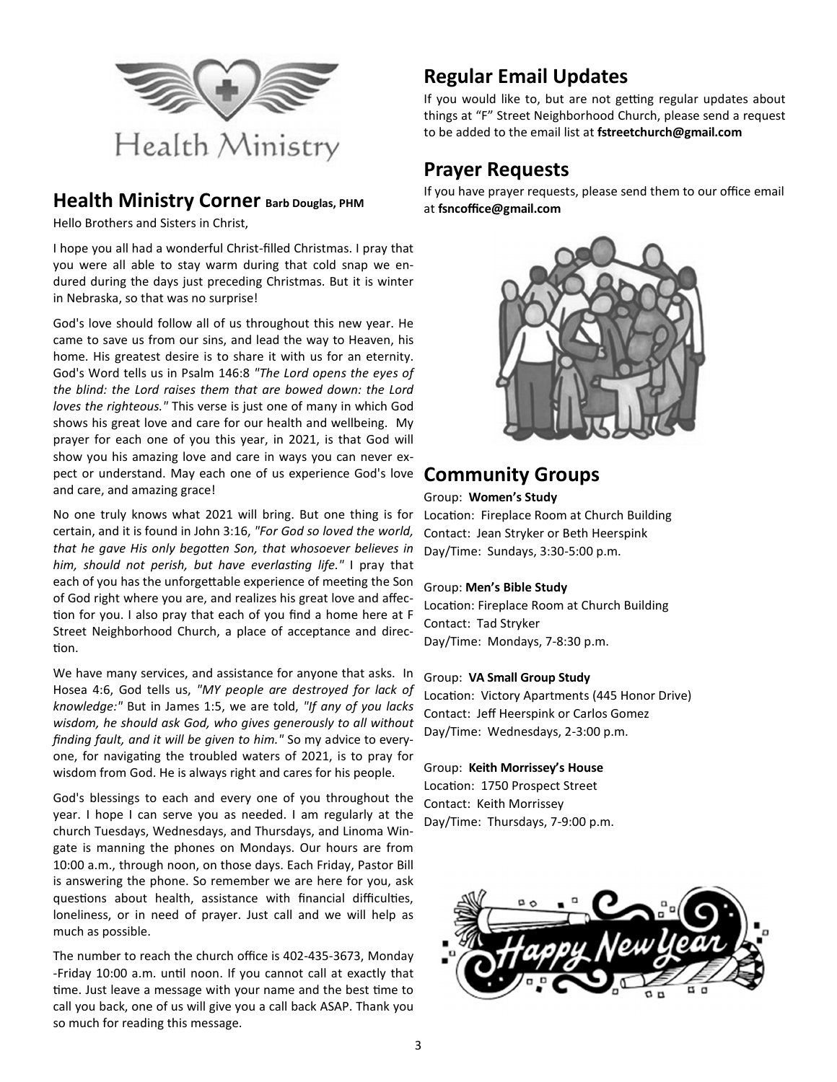

## **Health Ministry Corner Barb Douglas, PHM**

Hello Brothers and Sisters in Christ,

I hope you all had a wonderful Christ-filled Christmas. I pray that you were all able to stay warm during that cold snap we endured during the days just preceding Christmas. But it is winter in Nebraska, so that was no surprise!

God's love should follow all of us throughout this new year. He came to save us from our sins, and lead the way to Heaven, his home. His greatest desire is to share it with us for an eternity. God's Word tells us in Psalm 146:8 *"The Lord opens the eyes of the blind: the Lord raises them that are bowed down: the Lord loves the righteous."* This verse is just one of many in which God shows his great love and care for our health and wellbeing. My prayer for each one of you this year, in 2021, is that God will show you his amazing love and care in ways you can never expect or understand. May each one of us experience God's love and care, and amazing grace!

No one truly knows what 2021 will bring. But one thing is for certain, and it is found in John 3:16, *"For God so loved the world,*  that he gave His only begotten Son, that whosoever believes in him, should not perish, but have everlasting life." I pray that each of you has the unforgettable experience of meeting the Son of God right where you are, and realizes his great love and affec tion for you. I also pray that each of you find a home here at F Street Neighborhood Church, a place of acceptance and direc tion.

We have many services, and assistance for anyone that asks. In Hosea 4:6, God tells us, *"MY people are destroyed for lack of knowledge:"* But in James 1:5, we are told, *"If any of you lacks wisdom, he should ask God, who gives generously to all without finding fault, and it will be given to him."* So my advice to everyone, for navigating the troubled waters of 2021, is to pray for wisdom from God. He is always right and cares for his people.

God's blessings to each and every one of you throughout the year. I hope I can serve you as needed. I am regularly at the church Tuesdays, Wednesdays, and Thursdays, and Linoma Wingate is manning the phones on Mondays. Our hours are from 10:00 a.m., through noon, on those days. Each Friday, Pastor Bill is answering the phone. So remember we are here for you, ask questions about health, assistance with financial difficulties, loneliness, or in need of prayer. Just call and we will help as much as possible.

The number to reach the church office is 402-435-3673, Monday -Friday 10:00 a.m. until noon. If you cannot call at exactly that time. Just leave a message with your name and the best time to call you back, one of us will give you a call back ASAP. Thank you so much for reading this message.

## **Regular Email Updates**

If you would like to, but are not getting regular updates about things at "F" Street Neighborhood Church, please send a request to be added to the email list at **fstreetchurch@gmail.com**

## **Prayer Requests**

If you have prayer requests, please send them to our office email at **fsncoffice@gmail.com**



## **Community Groups**

#### Group: **Women's Study**

Location: Fireplace Room at Church Building Contact: Jean Stryker or Beth Heerspink Day/Time: Sundays, 3:30-5:00 p.m.

### Group: **Men's Bible Study**

Location: Fireplace Room at Church Building Contact: Tad Stryker Day/Time: Mondays, 7-8:30 p.m.

### Group: **VA Small Group Study**

Location: Victory Apartments (445 Honor Drive) Contact: Jeff Heerspink or Carlos Gomez Day/Time: Wednesdays, 2-3:00 p.m.

### Group: **Keith Morrissey's House**

Location: 1750 Prospect Street Contact: Keith Morrissey Day/Time: Thursdays, 7-9:00 p.m.